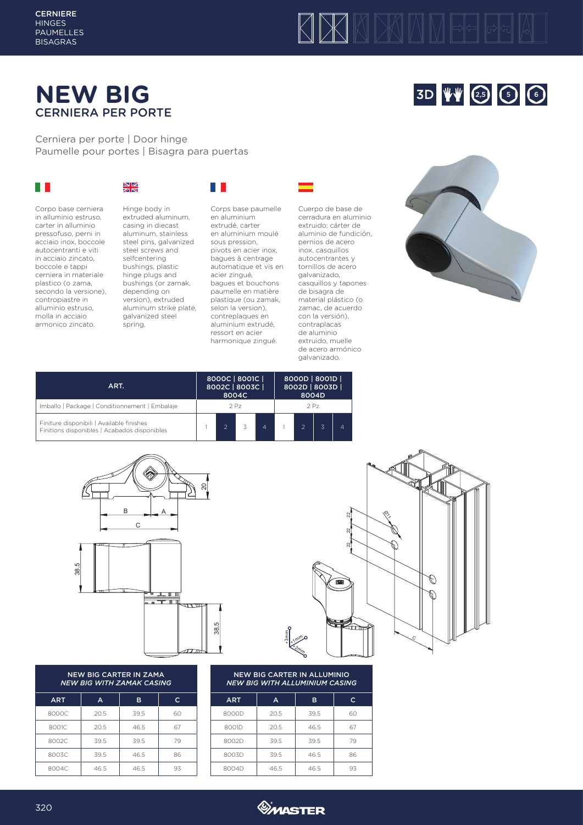#### **CERNIERE HINGES** PAUMELLES BISAGRAS

# KXKMM

# **NEW BIG** CERNIERA PER PORTE

Cerniera per porte | Door hinge Paumelle pour portes | Bisagra para puertas

## $\mathbb{R}^n$

## $\frac{N}{2}$

Corpo base cerniera in alluminio estruso, carter in alluminio pressofuso, perni in acciaio inox, boccole autocentranti e viti in acciaio zincato, boccole e tappi cerniera in materiale plastico (o zama, secondo la versione), contropiastre in alluminio estruso, molla in acciaio armonico zincato.



casing in diecast aluminum, stainless steel pins, galvanized steel screws and selfcentering bushings, plastic hinge plugs and bushings (or zamak, depending on version), extruded aluminum strike plate, galvanized steel spring.

Corps base paumelle en aluminium extrudé, carter en aluminium moulé sous pression, pivots en acier inox, bagues à centrage automatique et vis en acier zingué, bagues et bouchons paumelle en matière plastique (ou zamak, selon la version), contreplaques en aluminium extrudé, ressort en acier harmonique zingué.

**THE** 





3D V 4 2.5 6 6

| ART.                                                                                      | 8000C   8001C  <br>8002C   8003C | 8004C           |                | 8000D   8001D  <br>8002D   8003D  <br>8004D |  |  |  |
|-------------------------------------------------------------------------------------------|----------------------------------|-----------------|----------------|---------------------------------------------|--|--|--|
| Imballo   Package   Conditionnement   Embalaje                                            |                                  | 2P <sub>7</sub> |                | 2P <sub>7</sub>                             |  |  |  |
| Finiture disponibili   Available finishes<br>Finitions disponibles   Acabados disponibles |                                  |                 | $\overline{A}$ |                                             |  |  |  |



#### NEW BIG CARTER IN ZAMA *NEW BIG WITH ZAMAK CASING*

| <b>ART</b> | A    | B    | c  |
|------------|------|------|----|
| 8000C      | 20.5 | 39.5 | 60 |
| 8001C      | 20.5 | 46.5 | 67 |
| 8002C      | 39.5 | 39.5 | 79 |
| 8003C      | 39.5 | 46.5 | 86 |
| 8004C      | 46.5 | 46.5 | 93 |

### NEW BIG CARTER IN ALLUMINIO *NEW BIG WITH ALLUMINIUM CASING*

+3mm  $*1$ mm +2mm

| <b>ART</b> | A    | в    | $\mathsf{C}$ |  |  |
|------------|------|------|--------------|--|--|
| 8000D      | 20.5 | 39.5 | 60           |  |  |
| 8001D      | 20.5 | 46.5 | 67           |  |  |
| 8002D      | 39.5 | 39.5 | 79           |  |  |
| 8003D      | 39.5 | 46.5 | 86           |  |  |
| 8004D      | 46.5 | 46.5 | 93           |  |  |